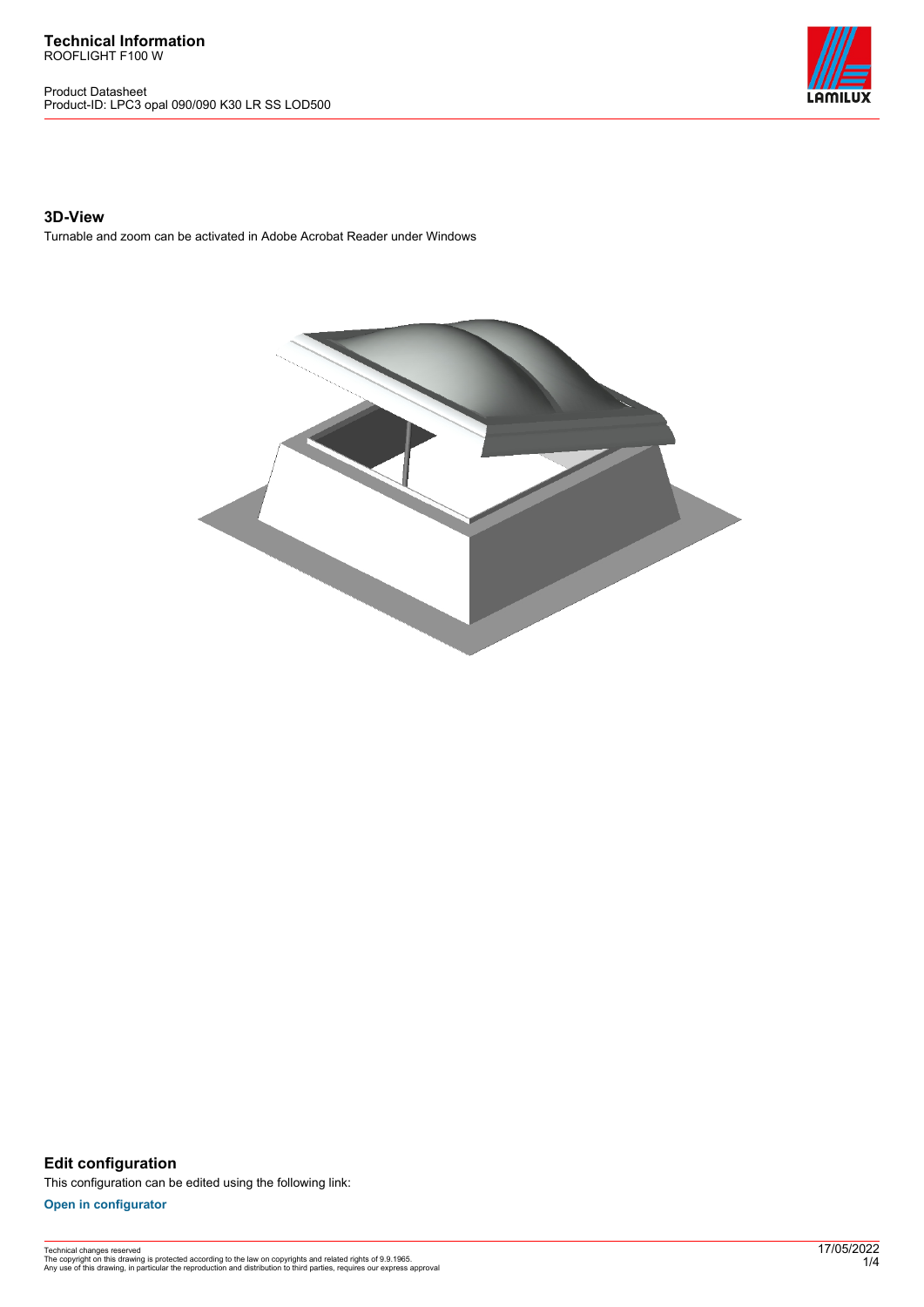**Technical Information** ROOFLIGHT F100 W

Product Datasheet Product-ID: LPC3 opal 090/090 K30 LR SS LOD500



## **3D-View**

Turnable and zoom can be activated in Adobe Acrobat Reader under Windows



**Edit configuration** This configuration can be edited using the following link:

**[Open in configurator](https://bimconfig.lamilux.com//?quickcode=PEYSVA)**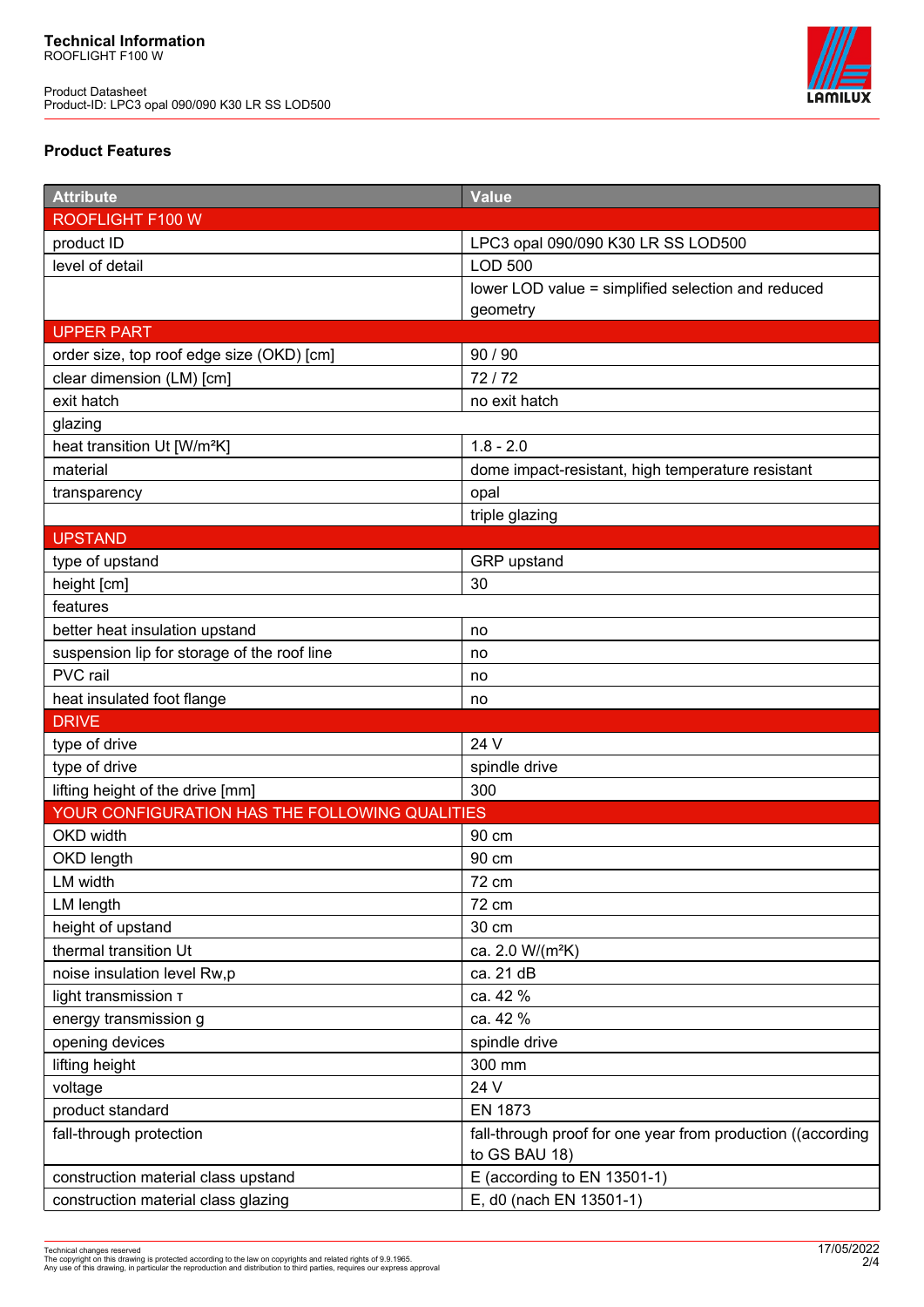Product Datasheet Product-ID: LPC3 opal 090/090 K30 LR SS LOD500



# **Product Features**

| <b>Attribute</b>                               | <b>Value</b>                                                                 |
|------------------------------------------------|------------------------------------------------------------------------------|
| ROOFLIGHT F100 W                               |                                                                              |
| product ID                                     | LPC3 opal 090/090 K30 LR SS LOD500                                           |
| level of detail                                | <b>LOD 500</b>                                                               |
|                                                | lower LOD value = simplified selection and reduced                           |
|                                                | geometry                                                                     |
| <b>UPPER PART</b>                              |                                                                              |
| order size, top roof edge size (OKD) [cm]      | 90 / 90                                                                      |
| clear dimension (LM) [cm]                      | 72/72                                                                        |
| exit hatch                                     | no exit hatch                                                                |
| glazing                                        |                                                                              |
| heat transition Ut [W/m <sup>2</sup> K]        | $1.8 - 2.0$                                                                  |
| material                                       | dome impact-resistant, high temperature resistant                            |
| transparency                                   | opal                                                                         |
|                                                | triple glazing                                                               |
| <b>UPSTAND</b>                                 |                                                                              |
| type of upstand                                | GRP upstand                                                                  |
| height [cm]                                    | 30                                                                           |
| features                                       |                                                                              |
| better heat insulation upstand                 | no                                                                           |
| suspension lip for storage of the roof line    | no                                                                           |
| PVC rail                                       | no                                                                           |
| heat insulated foot flange                     | no                                                                           |
| <b>DRIVE</b>                                   |                                                                              |
| type of drive                                  | 24 V                                                                         |
| type of drive                                  | spindle drive                                                                |
| lifting height of the drive [mm]               | 300                                                                          |
| YOUR CONFIGURATION HAS THE FOLLOWING QUALITIES |                                                                              |
| OKD width                                      | 90 cm                                                                        |
| OKD length                                     | 90 cm                                                                        |
| LM width                                       | 72 cm                                                                        |
| LM length                                      | 72 cm                                                                        |
| height of upstand                              | 30 cm                                                                        |
| thermal transition Ut                          | ca. 2.0 W/(m <sup>2</sup> K)                                                 |
| noise insulation level Rw,p                    | ca. 21 dB                                                                    |
| light transmission T                           | ca. 42 %                                                                     |
| energy transmission g                          | ca. 42 %                                                                     |
| opening devices                                | spindle drive                                                                |
| lifting height                                 | 300 mm                                                                       |
| voltage                                        | 24 V                                                                         |
| product standard                               | <b>EN 1873</b>                                                               |
| fall-through protection                        | fall-through proof for one year from production ((according<br>to GS BAU 18) |
| construction material class upstand            | E (according to EN 13501-1)                                                  |
| construction material class glazing            | E, d0 (nach EN 13501-1)                                                      |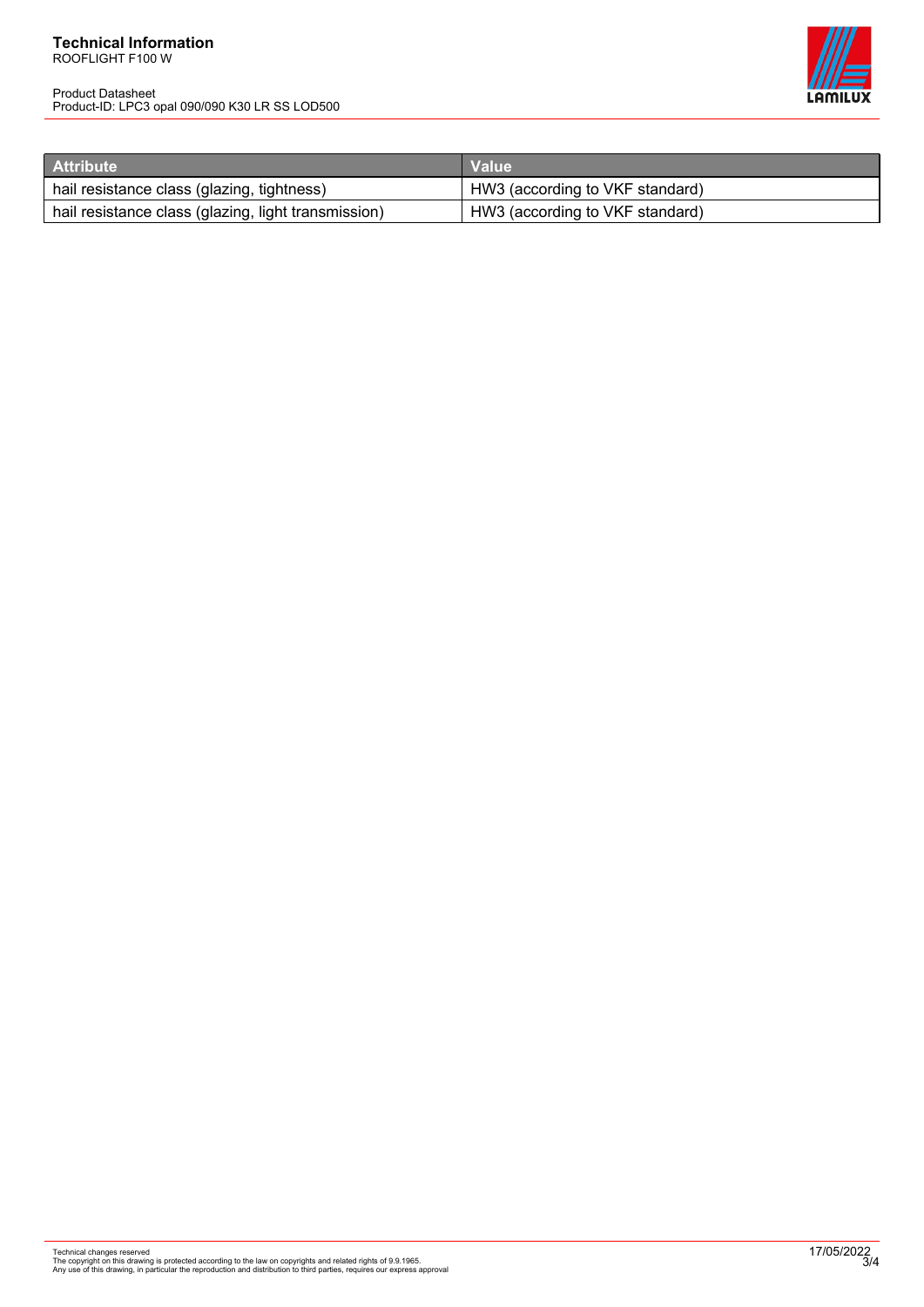#### **Technical Information** ROOFLIGHT F100 W

Product Datasheet Product-ID: LPC3 opal 090/090 K30 LR SS LOD500



| <b>Attribute</b>                                    | Value <sup>1</sup>              |
|-----------------------------------------------------|---------------------------------|
| hail resistance class (glazing, tightness)          | HW3 (according to VKF standard) |
| hail resistance class (glazing, light transmission) | HW3 (according to VKF standard) |